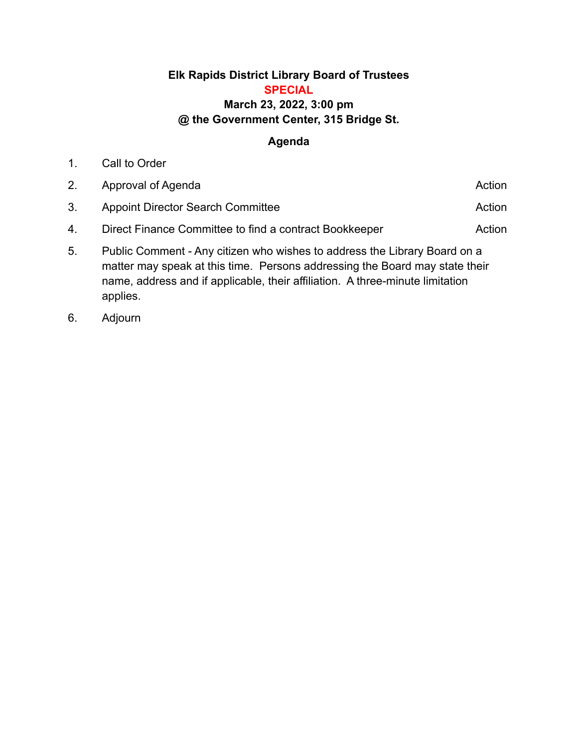## **Elk Rapids District Library Board of Trustees SPECIAL March 23, 2022, 3:00 pm @ the Government Center, 315 Bridge St.**

## **Agenda**

| 2. | Approval of Agenda                                                        | Action |
|----|---------------------------------------------------------------------------|--------|
| 3. | <b>Appoint Director Search Committee</b>                                  | Action |
| 4. | Direct Finance Committee to find a contract Bookkeeper                    | Action |
| ᄃ  | Public Comment - Any citizen who wishes to address the Library Roard on a |        |

- 5. Public Comment Any citizen who wishes to address the Library Board on a matter may speak at this time. Persons addressing the Board may state their name, address and if applicable, their affiliation. A three-minute limitation applies.
- 6. Adjourn

1. Call to Order